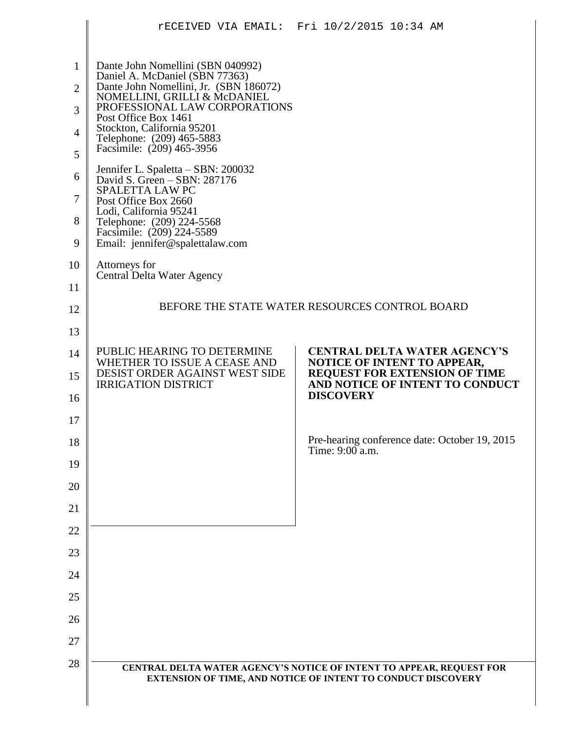|                                                              |                                                                                                                                                                                                                                                                                                                                                                                                                                                                        | rECEIVED VIA EMAIL: Fri 10/2/2015 10:34 AM                                                  |  |  |  |
|--------------------------------------------------------------|------------------------------------------------------------------------------------------------------------------------------------------------------------------------------------------------------------------------------------------------------------------------------------------------------------------------------------------------------------------------------------------------------------------------------------------------------------------------|---------------------------------------------------------------------------------------------|--|--|--|
| $\mathbf{1}$<br>$\overline{2}$<br>3<br>4<br>5<br>6<br>7<br>8 | Dante John Nomellini (SBN 040992)<br>Daniel A. McDaniel (SBN 77363)<br>Dante John Nomellini, Jr. (SBN 186072)<br>NOMELLINI, GRILLI & McDANIEL<br>PROFESSIONAL LAW CORPORATIONS<br>Post Office Box 1461<br>Stockton, California 95201<br>Telephone: (209) 465-5883<br>Facsimile: (209) 465-3956<br>Jennifer L. Spaletta - SBN: 200032<br>David S. Green - SBN: 287176<br>SPALETTA LAW PC<br>Post Office Box 2660<br>Lodi, California 95241<br>Telephone: (209) 224-5568 |                                                                                             |  |  |  |
| 9                                                            | Facsimile: (209) 224-5589<br>Email: jennifer@spalettalaw.com                                                                                                                                                                                                                                                                                                                                                                                                           |                                                                                             |  |  |  |
| 10                                                           | Attorneys for<br>Central Delta Water Agency                                                                                                                                                                                                                                                                                                                                                                                                                            |                                                                                             |  |  |  |
| 11<br>12                                                     | BEFORE THE STATE WATER RESOURCES CONTROL BOARD                                                                                                                                                                                                                                                                                                                                                                                                                         |                                                                                             |  |  |  |
| 13                                                           |                                                                                                                                                                                                                                                                                                                                                                                                                                                                        |                                                                                             |  |  |  |
| 14                                                           | PUBLIC HEARING TO DETERMINE<br>WHETHER TO ISSUE A CEASE AND                                                                                                                                                                                                                                                                                                                                                                                                            | <b>CENTRAL DELTA WATER AGENCY'S</b><br>NOTICE OF INTENT TO APPEAR,                          |  |  |  |
| 15<br>16                                                     | DESIST ORDER AGAINST WEST SIDE<br><b>IRRIGATION DISTRICT</b>                                                                                                                                                                                                                                                                                                                                                                                                           | <b>REQUEST FOR EXTENSION OF TIME</b><br>AND NOTICE OF INTENT TO CONDUCT<br><b>DISCOVERY</b> |  |  |  |
| 17                                                           |                                                                                                                                                                                                                                                                                                                                                                                                                                                                        |                                                                                             |  |  |  |
| 18                                                           |                                                                                                                                                                                                                                                                                                                                                                                                                                                                        | Pre-hearing conference date: October 19, 2015<br>Time: 9:00 a.m.                            |  |  |  |
| 19                                                           |                                                                                                                                                                                                                                                                                                                                                                                                                                                                        |                                                                                             |  |  |  |
| 20                                                           |                                                                                                                                                                                                                                                                                                                                                                                                                                                                        |                                                                                             |  |  |  |
| 21                                                           |                                                                                                                                                                                                                                                                                                                                                                                                                                                                        |                                                                                             |  |  |  |
| 22                                                           |                                                                                                                                                                                                                                                                                                                                                                                                                                                                        |                                                                                             |  |  |  |
| 23                                                           |                                                                                                                                                                                                                                                                                                                                                                                                                                                                        |                                                                                             |  |  |  |
| 24<br>25                                                     |                                                                                                                                                                                                                                                                                                                                                                                                                                                                        |                                                                                             |  |  |  |
| 26                                                           |                                                                                                                                                                                                                                                                                                                                                                                                                                                                        |                                                                                             |  |  |  |
| 27                                                           |                                                                                                                                                                                                                                                                                                                                                                                                                                                                        |                                                                                             |  |  |  |
| 28                                                           |                                                                                                                                                                                                                                                                                                                                                                                                                                                                        | CENTRAL DELTA WATER AGENCY'S NOTICE OF INTENT TO APPEAR, REQUEST FOR                        |  |  |  |
|                                                              |                                                                                                                                                                                                                                                                                                                                                                                                                                                                        | EXTENSION OF TIME, AND NOTICE OF INTENT TO CONDUCT DISCOVERY                                |  |  |  |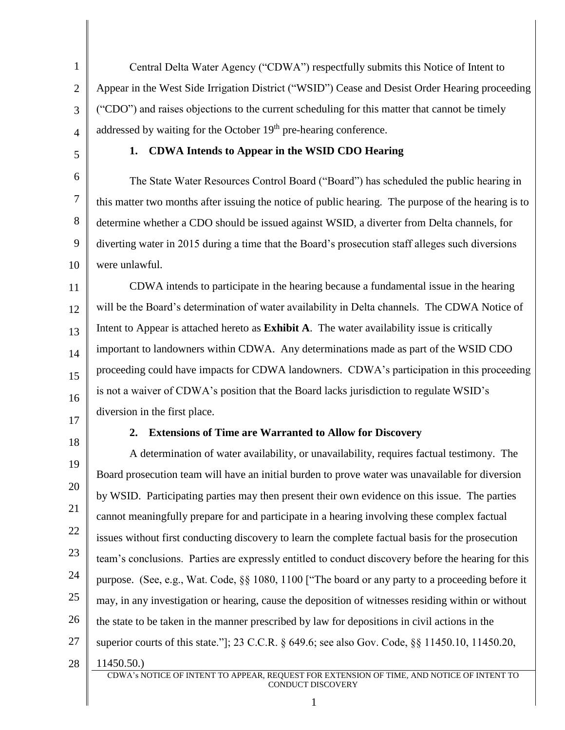1 2 3 4 Central Delta Water Agency ("CDWA") respectfully submits this Notice of Intent to Appear in the West Side Irrigation District ("WSID") Cease and Desist Order Hearing proceeding ("CDO") and raises objections to the current scheduling for this matter that cannot be timely addressed by waiting for the October 19<sup>th</sup> pre-hearing conference.

5

### **1. CDWA Intends to Appear in the WSID CDO Hearing**

6 7 8 9 10 The State Water Resources Control Board ("Board") has scheduled the public hearing in this matter two months after issuing the notice of public hearing. The purpose of the hearing is to determine whether a CDO should be issued against WSID, a diverter from Delta channels, for diverting water in 2015 during a time that the Board's prosecution staff alleges such diversions were unlawful.

11 12 13 14 15 16 CDWA intends to participate in the hearing because a fundamental issue in the hearing will be the Board's determination of water availability in Delta channels. The CDWA Notice of Intent to Appear is attached hereto as **Exhibit A**. The water availability issue is critically important to landowners within CDWA. Any determinations made as part of the WSID CDO proceeding could have impacts for CDWA landowners. CDWA's participation in this proceeding is not a waiver of CDWA's position that the Board lacks jurisdiction to regulate WSID's diversion in the first place.

17 18

### **2. Extensions of Time are Warranted to Allow for Discovery**

19 20 21 22 23 24 25 26 27 28 A determination of water availability, or unavailability, requires factual testimony. The Board prosecution team will have an initial burden to prove water was unavailable for diversion by WSID. Participating parties may then present their own evidence on this issue. The parties cannot meaningfully prepare for and participate in a hearing involving these complex factual issues without first conducting discovery to learn the complete factual basis for the prosecution team's conclusions. Parties are expressly entitled to conduct discovery before the hearing for this purpose. (See, e.g., Wat. Code, §§ 1080, 1100 ["The board or any party to a proceeding before it may, in any investigation or hearing, cause the deposition of witnesses residing within or without the state to be taken in the manner prescribed by law for depositions in civil actions in the superior courts of this state."]; 23 C.C.R. § 649.6; see also Gov. Code, §§ 11450.10, 11450.20, 11450.50.)

CDWA's NOTICE OF INTENT TO APPEAR, REQUEST FOR EXTENSION OF TIME, AND NOTICE OF INTENT TO CONDUCT DISCOVERY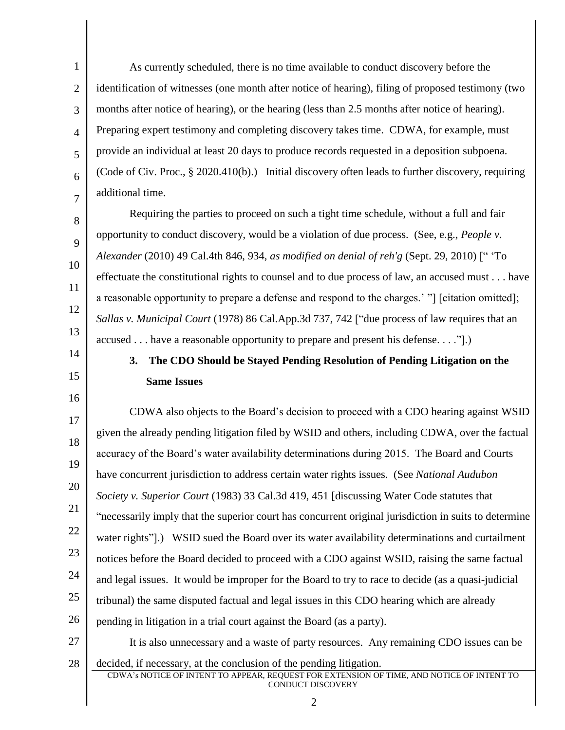1 2 3 4 6 As currently scheduled, there is no time available to conduct discovery before the identification of witnesses (one month after notice of hearing), filing of proposed testimony (two months after notice of hearing), or the hearing (less than 2.5 months after notice of hearing). Preparing expert testimony and completing discovery takes time. CDWA, for example, must provide an individual at least 20 days to produce records requested in a deposition subpoena. (Code of Civ. Proc., § 2020.410(b).) Initial discovery often leads to further discovery, requiring additional time.

Requiring the parties to proceed on such a tight time schedule, without a full and fair opportunity to conduct discovery, would be a violation of due process. (See, e.g., *People v. Alexander* (2010) 49 Cal.4th 846, 934, *as modified on denial of reh'g* (Sept. 29, 2010) [" 'To effectuate the constitutional rights to counsel and to due process of law, an accused must . . . have a reasonable opportunity to prepare a defense and respond to the charges.' "] [citation omitted]; *Sallas v. Municipal Court* (1978) 86 Cal.App.3d 737, 742 ["due process of law requires that an accused . . . have a reasonable opportunity to prepare and present his defense. . . ."].)

14 15

16

5

7

8

9

10

11

12

13

# **3. The CDO Should be Stayed Pending Resolution of Pending Litigation on the Same Issues**

17 18 19 20 21 22 23 24 25 26 CDWA also objects to the Board's decision to proceed with a CDO hearing against WSID given the already pending litigation filed by WSID and others, including CDWA, over the factual accuracy of the Board's water availability determinations during 2015. The Board and Courts have concurrent jurisdiction to address certain water rights issues. (See *National Audubon Society v. Superior Court* (1983) 33 Cal.3d 419, 451 [discussing Water Code statutes that "necessarily imply that the superior court has concurrent original jurisdiction in suits to determine water rights"].) WSID sued the Board over its water availability determinations and curtailment notices before the Board decided to proceed with a CDO against WSID, raising the same factual and legal issues. It would be improper for the Board to try to race to decide (as a quasi-judicial tribunal) the same disputed factual and legal issues in this CDO hearing which are already pending in litigation in a trial court against the Board (as a party).

- 27 28 CDWA's NOTICE OF INTENT TO APPEAR, REQUEST FOR EXTENSION OF TIME, AND NOTICE OF INTENT TO It is also unnecessary and a waste of party resources. Any remaining CDO issues can be decided, if necessary, at the conclusion of the pending litigation.
	- CONDUCT DISCOVERY 2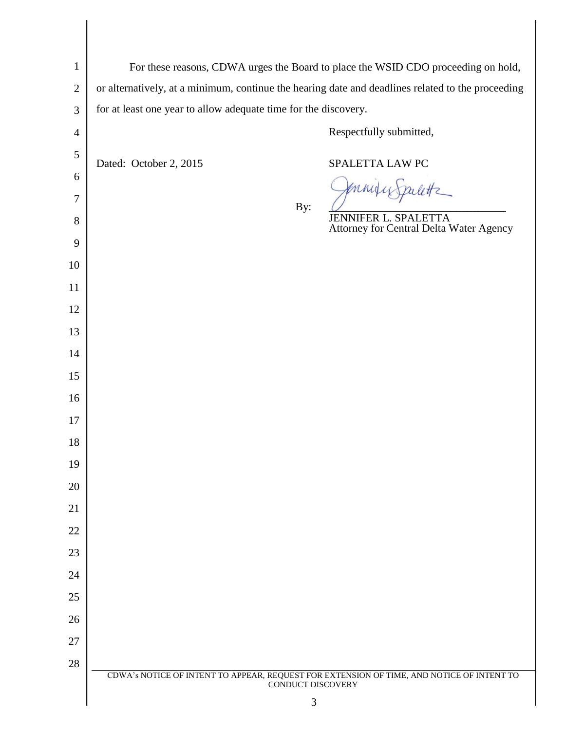| $\mathbf{1}$   | For these reasons, CDWA urges the Board to place the WSID CDO proceeding on hold,                              |                                         |  |  |  |  |
|----------------|----------------------------------------------------------------------------------------------------------------|-----------------------------------------|--|--|--|--|
| $\mathbf{2}$   | or alternatively, at a minimum, continue the hearing date and deadlines related to the proceeding              |                                         |  |  |  |  |
| $\mathfrak{Z}$ | for at least one year to allow adequate time for the discovery.                                                |                                         |  |  |  |  |
| $\overline{4}$ | Respectfully submitted,                                                                                        |                                         |  |  |  |  |
| $\mathfrak{S}$ | Dated: October 2, 2015                                                                                         | SPALETTA LAW PC                         |  |  |  |  |
| 6              |                                                                                                                |                                         |  |  |  |  |
| $\tau$         | By:                                                                                                            | <b>JENNIFER L. SPALETTA</b>             |  |  |  |  |
| 8<br>9         |                                                                                                                | Attorney for Central Delta Water Agency |  |  |  |  |
| 10             |                                                                                                                |                                         |  |  |  |  |
| 11             |                                                                                                                |                                         |  |  |  |  |
| 12             |                                                                                                                |                                         |  |  |  |  |
| 13             |                                                                                                                |                                         |  |  |  |  |
| 14             |                                                                                                                |                                         |  |  |  |  |
| 15             |                                                                                                                |                                         |  |  |  |  |
| 16             |                                                                                                                |                                         |  |  |  |  |
| 17             |                                                                                                                |                                         |  |  |  |  |
| 18             |                                                                                                                |                                         |  |  |  |  |
| 19             |                                                                                                                |                                         |  |  |  |  |
| 20<br>21       |                                                                                                                |                                         |  |  |  |  |
| 22             |                                                                                                                |                                         |  |  |  |  |
| 23             |                                                                                                                |                                         |  |  |  |  |
| 24             |                                                                                                                |                                         |  |  |  |  |
| 25             |                                                                                                                |                                         |  |  |  |  |
| 26             |                                                                                                                |                                         |  |  |  |  |
| 27             |                                                                                                                |                                         |  |  |  |  |
| $28\,$         |                                                                                                                |                                         |  |  |  |  |
|                | CDWA's NOTICE OF INTENT TO APPEAR, REQUEST FOR EXTENSION OF TIME, AND NOTICE OF INTENT TO<br>CONDUCT DISCOVERY |                                         |  |  |  |  |
|                | 3                                                                                                              |                                         |  |  |  |  |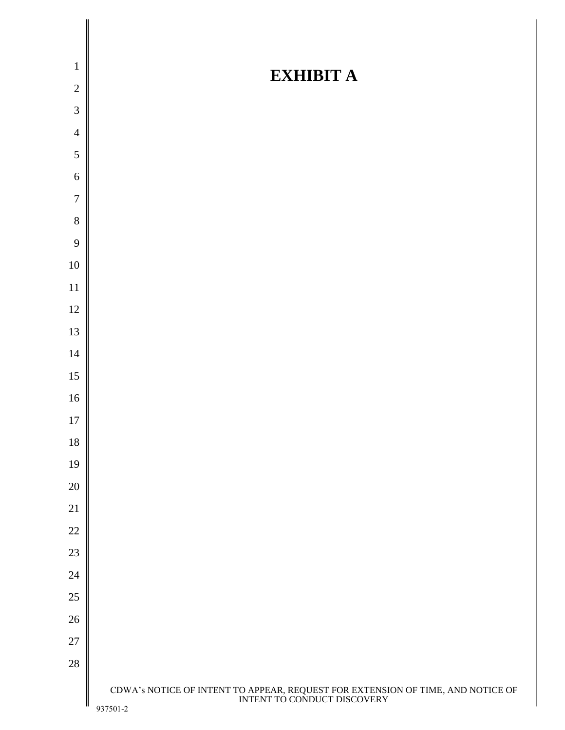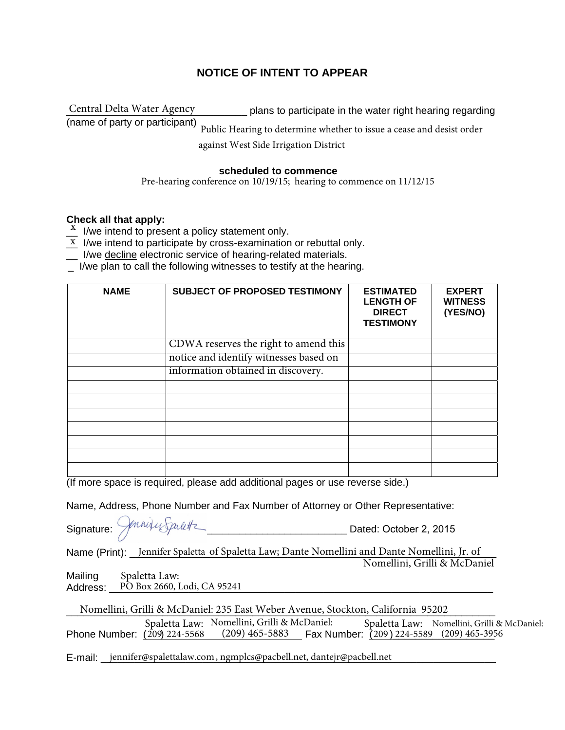# **NOTICE OF INTENT TO APPEAR**

\_\_\_\_\_\_\_\_\_\_\_\_\_\_\_\_\_\_\_\_\_\_\_\_\_\_\_\_\_\_\_\_ plans to participate in the water right hearing regarding (name of party or participant) against West Side Irrigation District Central Delta Water Agency Public Hearing to determine whether to issue a cease and desist order

#### **scheduled to commence**

Pre-hearing conference on 10/19/15; hearing to commence on 11/12/15

## **Check all that apply:**

Show an that apply.<br> $\frac{X}{x}$  I/we intend to present a policy statement only.

- $\underline{x}$  I/we intend to participate by cross-examination or rebuttal only.
- I/we decline electronic service of hearing-related materials.
- \_ I/we plan to call the following witnesses to testify at the hearing.

| <b>NAME</b> | <b>SUBJECT OF PROPOSED TESTIMONY</b>   | <b>ESTIMATED</b><br><b>LENGTH OF</b><br><b>DIRECT</b><br><b>TESTIMONY</b> | <b>EXPERT</b><br><b>WITNESS</b><br>(YES/NO) |
|-------------|----------------------------------------|---------------------------------------------------------------------------|---------------------------------------------|
|             | CDWA reserves the right to amend this  |                                                                           |                                             |
|             | notice and identify witnesses based on |                                                                           |                                             |
|             | information obtained in discovery.     |                                                                           |                                             |
|             |                                        |                                                                           |                                             |
|             |                                        |                                                                           |                                             |
|             |                                        |                                                                           |                                             |
|             |                                        |                                                                           |                                             |
|             |                                        |                                                                           |                                             |
|             |                                        |                                                                           |                                             |
|             |                                        |                                                                           |                                             |

(If more space is required, please add additional pages or use reverse side.)

Name, Address, Phone Number and Fax Number of Attorney or Other Representative:

| Signature: <i>Jonniqu Spalett</i> | Dated: October 2, 2015                                                                       |
|-----------------------------------|----------------------------------------------------------------------------------------------|
|                                   | Name (Print): Jennifer Spaletta of Spaletta Law; Dante Nomellini and Dante Nomellini, Jr. of |
|                                   | Nomellini, Grilli & McDaniel                                                                 |

Mailing Address: PO Box 2660, Lodi, CA 95241 Spaletta Law:

| Nomellini, Grilli & McDaniel: 235 East Weber Avenue, Stockton, California 95202 |  |                                                                 |  |  |                                                                                              |  |
|---------------------------------------------------------------------------------|--|-----------------------------------------------------------------|--|--|----------------------------------------------------------------------------------------------|--|
| Phone Number: (209) 224-5568                                                    |  | Spaletta Law: Nomellini, Grilli & McDaniel:<br>$(209)$ 465-5883 |  |  | Spaletta Law: Nomellini, Grilli & McDaniel:<br>Fax Number: $(209)$ 224-5589 $(209)$ 465-3956 |  |

E-mail: \_\_\_jennifer@spalettalaw.com, ngmplcs@pacbell.net, dantejr@pacbell.net